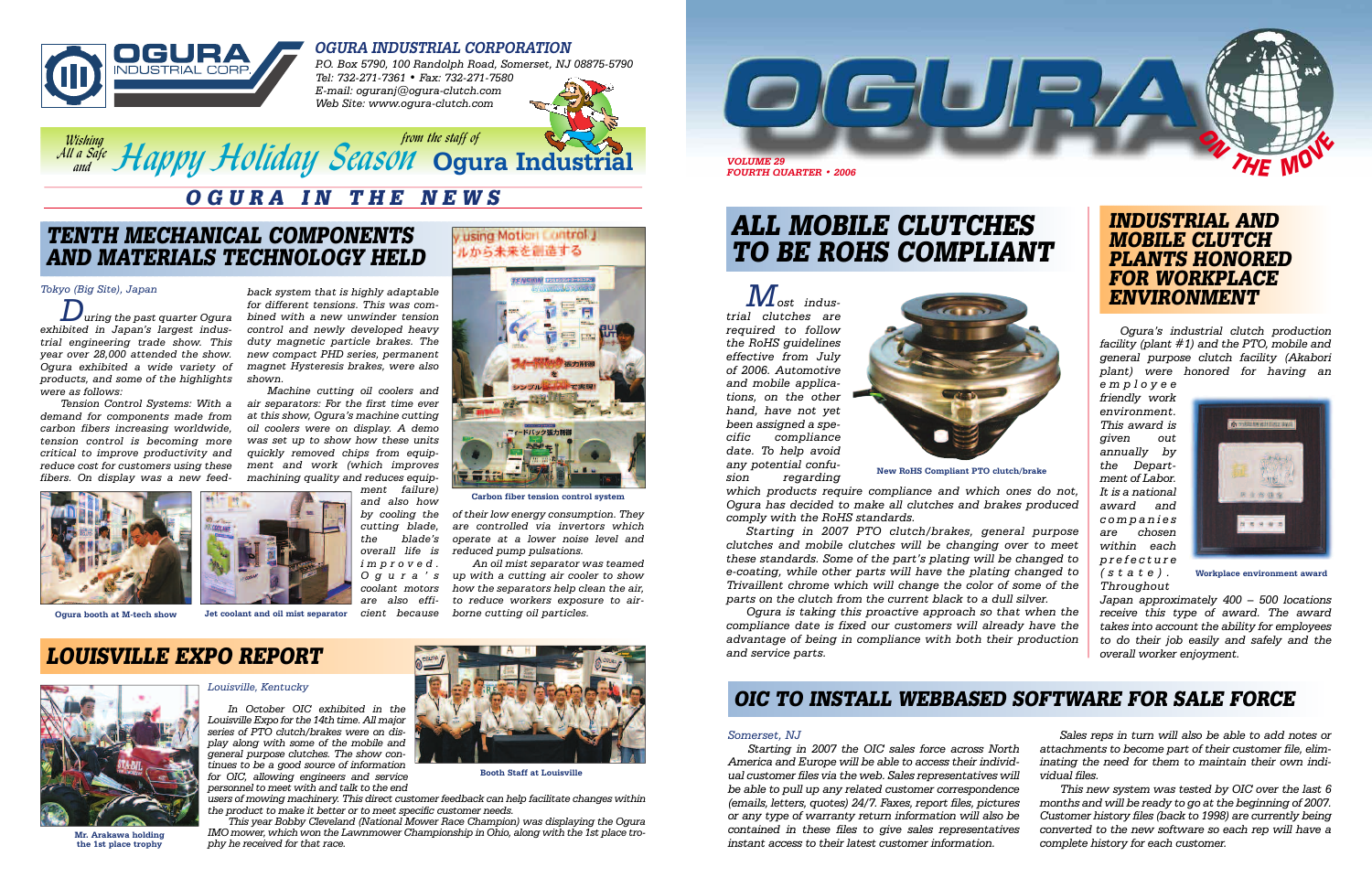

## **OGURA INDUSTRIAL CORPORATION**



*P.O. Box 5790, 100 Randolph Road, Somerset, NJ 08875-5790 Tel: 732-271-7361 • Fax: 732-271-7580 E-mail: oguranj@ogura-clutch.com Web Site: www.ogura-clutch.com*



**ALL MOBILE CLUTCHES TO BE ROHS COMPLIANT**

*Most industrial clutches are required to follow the RoHS guidelines effective from July of 2006. Automotive and mobile applications, on the other hand, have not yet been assigned a specific compliance date. To help avoid any potential confusion regarding*

*which products require compliance and which ones do not, Ogura has decided to make all clutches and brakes produced comply with the RoHS standards.* 

*Starting in 2007 PTO clutch/brakes, general purpose clutches and mobile clutches will be changing over to meet these standards. Some of the part's plating will be changed to e-coating, while other parts will have the plating changed to Trivaillent chrome which will change the color of some of the parts on the clutch from the current black to a dull silver.* 

*Ogura is taking this proactive approach so that when the compliance date is fixed our customers will already have the advantage of being in compliance with both their production and service parts.* 

# **OGURA IN THE NEWS**

## **TENTH MECHANICAL COMPONENTS AND MATERIALS TECHNOLOGY HELD**



**New RoHS Compliant PTO clutch/brake** 

### *Tokyo (Big Site), Japan*

*During the past quarter Ogura exhibited in Japan's largest industrial engineering trade show. This year over 28,000 attended the show. Ogura exhibited a wide variety of products, and some of the highlights were as follows:*

*Tension Control Systems: With a demand for components made from carbon fibers increasing worldwide, tension control is becoming more critical to improve productivity and reduce cost for customers using these fibers. On display was a new feed-*





### *Louisville, Kentucky*

*In October OIC exhibited in the Louisville Expo for the 14th time. All major series of PTO clutch/brakes were on display along with some of the mobile and general purpose clutches. The show continues to be a good source of information for OIC, allowing engineers and service personnel to meet with and talk to the end*

*users of mowing machinery. This direct customer feedback can help facilitate changes within the product to make it better or to meet specific customer needs.* 

*This year Bobby Cleveland (National Mower Race Champion) was displaying the Ogura IMO mower, which won the Lawnmower Championship in Ohio, along with the 1st place trophy he received for that race.*



*Com the staff of Season Constrainers of the staff of Wishing <i>from the staff of All a Safe and*

> *Ogura's industrial clutch production facility (plant #1) and the PTO, mobile and general purpose clutch facility (Akabori plant) were honored for having an*

*employee friendly work environment. This award is given out annually by the Department of Labor. It is a national award and companies are chosen within each prefecture (state). Throughout*



*Japan approximately 400 – 500 locations receive this type of award. The award takes into account the ability for employees to do their job easily and safely and the*





**Booth Staff at Louisville**

*back system that is highly adaptable for different tensions. This was combined with a new unwinder tension control and newly developed heavy duty magnetic particle brakes. The new compact PHD series, permanent magnet Hysteresis brakes, were also shown.* 

*Machine cutting oil coolers and air separators: For the first time ever at this show, Ogura's machine cutting oil coolers were on display. A demo was set up to show how these units quickly removed chips from equipment and work (which improves machining quality and reduces equip-*

*ment failure) and also how by cooling the cutting blade, the blade's overall life is improved. Ogura's coolant motors are also efficient because*



using Motion Central J ルから未来を創造する

## **OIC TO INSTALL WEBBASED SOFTWARE FOR SALE FORCE**

### *Somerset, NJ*

*Starting in 2007 the OIC sales force across North America and Europe will be able to access their individual customer files via the web. Sales representatives will be able to pull up any related customer correspondence (emails, letters, quotes) 24/7. Faxes, report files, pictures or any type of warranty return information will also be contained in these files to give sales representatives* Mr. Arakawa holding *indumower, which won the Lawmhower championship in Onio, along with the 1st place tro-*<br> *complete history for each customer.* And their latest customer information. *complete history for each custome Sales reps in turn will also be able to add notes or attachments to become part of their customer file, eliminating the need for them to maintain their own individual files. This new system was tested by OIC over the last 6 months and will be ready to go at the beginning of 2007. Customer history files (back to 1998) are currently being converted to the new software so each rep will have a*





**the 1st place trophy**

**Workplace environment award**

**Carbon fiber tension control system**

**Ogura booth at M-tech show Jet coolant and oil mist separator**

*of their low energy consumption. They are controlled via invertors which operate at a lower noise level and reduced pump pulsations.* 

*An oil mist separator was teamed up with a cutting air cooler to show how the separators help clean the air, to reduce workers exposure to airborne cutting oil particles.*